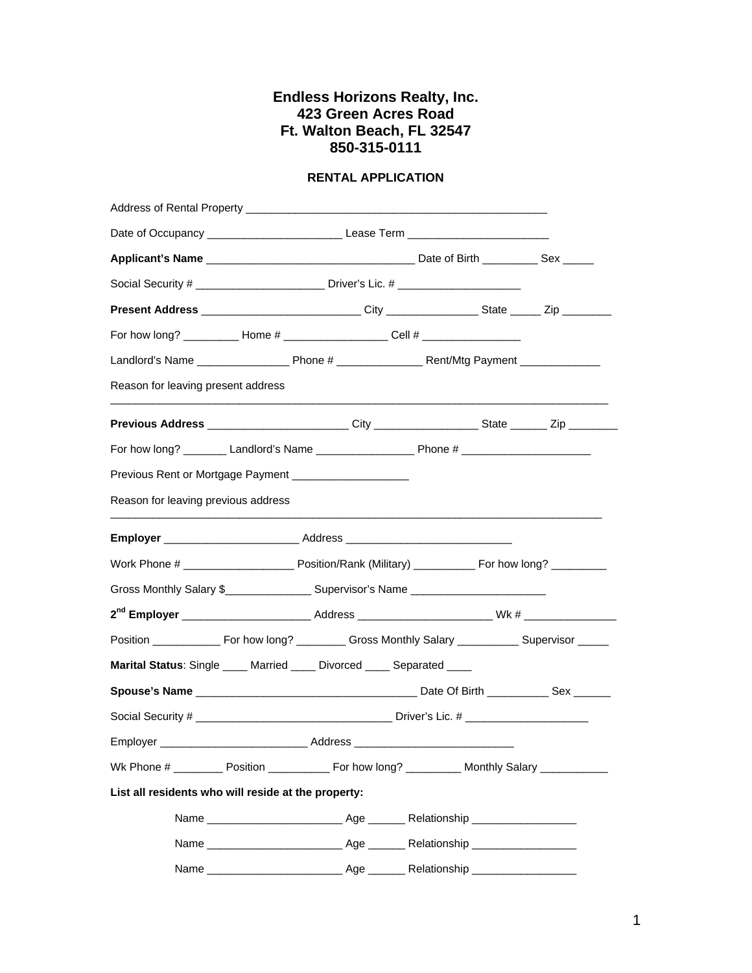## **Endless Horizons Realty, Inc. 423 Green Acres Road Ft. Walton Beach, FL 32547 850-315-0111**

## **RENTAL APPLICATION**

| Address of Rental Property __________                                                                      |  |  |  |  |  |
|------------------------------------------------------------------------------------------------------------|--|--|--|--|--|
|                                                                                                            |  |  |  |  |  |
|                                                                                                            |  |  |  |  |  |
| Social Security # ___________________________ Driver's Lic. # __________________                           |  |  |  |  |  |
| Present Address _____________________________City ________________State ______ Zip _________               |  |  |  |  |  |
| For how long? ____________ Home # ________________________Cell # _______________                           |  |  |  |  |  |
|                                                                                                            |  |  |  |  |  |
| Reason for leaving present address                                                                         |  |  |  |  |  |
| Previous Address _________________________City __________________State ________ Zip _______________        |  |  |  |  |  |
|                                                                                                            |  |  |  |  |  |
| Previous Rent or Mortgage Payment ____________________                                                     |  |  |  |  |  |
| Reason for leaving previous address                                                                        |  |  |  |  |  |
|                                                                                                            |  |  |  |  |  |
|                                                                                                            |  |  |  |  |  |
| Gross Monthly Salary \$_____________________ Supervisor's Name ___________________                         |  |  |  |  |  |
|                                                                                                            |  |  |  |  |  |
| Position ________________ For how long? ____________ Gross Monthly Salary _____________ Supervisor _______ |  |  |  |  |  |
| Marital Status: Single ____ Married ____ Divorced ____ Separated ____                                      |  |  |  |  |  |
|                                                                                                            |  |  |  |  |  |
|                                                                                                            |  |  |  |  |  |
|                                                                                                            |  |  |  |  |  |
| Wk Phone # __________ Position _______________ For how long? _____________ Monthly Salary ______________   |  |  |  |  |  |
| List all residents who will reside at the property:                                                        |  |  |  |  |  |
|                                                                                                            |  |  |  |  |  |
|                                                                                                            |  |  |  |  |  |
|                                                                                                            |  |  |  |  |  |